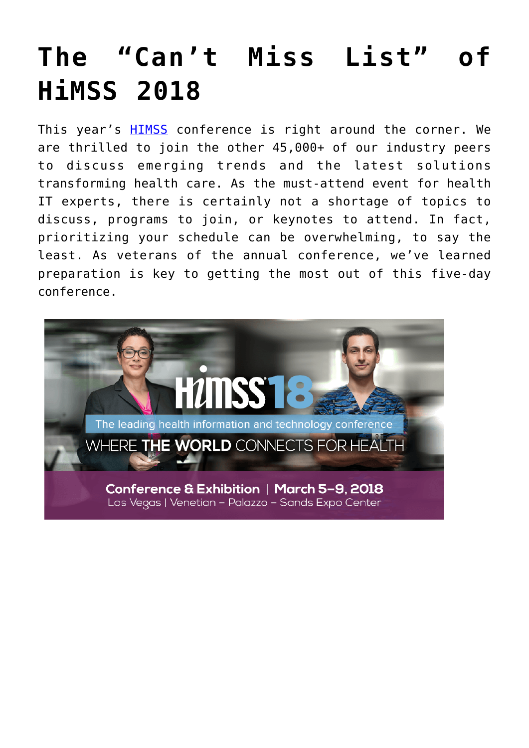## **[The "Can't Miss List" of](https://www.cns-inc.com/insights/thought-leadership/the-cant-miss-list-of-himss-2018/) [HiMSS 2018](https://www.cns-inc.com/insights/thought-leadership/the-cant-miss-list-of-himss-2018/)**

This year's **[HIMSS](http://www.himssconference.org/)** conference is right around the corner. We are thrilled to join the other 45,000+ of our industry peers to discuss emerging trends and the latest solutions transforming health care. As the must-attend event for health IT experts, there is certainly not a shortage of topics to discuss, programs to join, or keynotes to attend. In fact, prioritizing your schedule can be overwhelming, to say the least. As veterans of the annual conference, we've learned preparation is key to getting the most out of this five-day conference.

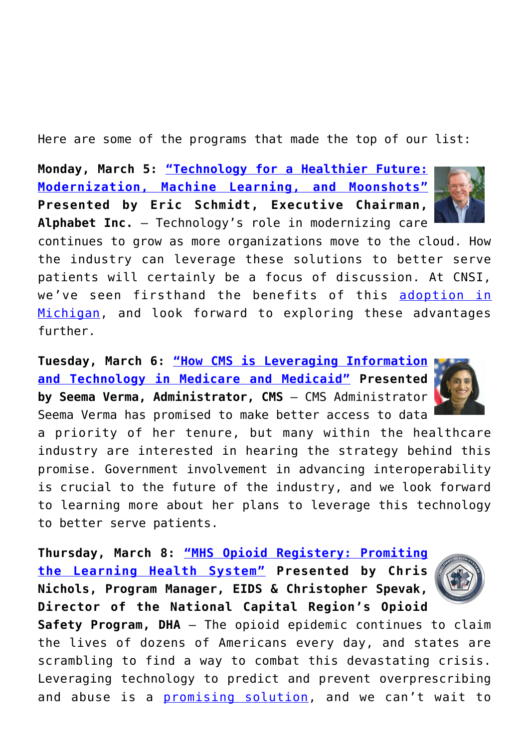Here are some of the programs that made the top of our list:

**Monday, March 5: ["Technology for a Healthier Future:](http://www.himssconference.org/session/technology-healthier-future-modernization-machine-learning-and-moonshots) [Modernization, Machine Learning, and Moonshots"](http://www.himssconference.org/session/technology-healthier-future-modernization-machine-learning-and-moonshots) Presented by Eric Schmidt, Executive Chairman, Alphabet Inc.** – Technology's role in modernizing care



continues to grow as more organizations move to the cloud. How the industry can leverage these solutions to better serve patients will certainly be a focus of discussion. At CNSI, we've seen firsthand the benefits of this [adoption in](https://www.cns-inc.com/evobrix) [Michigan](https://www.cns-inc.com/evobrix), and look forward to exploring these advantages further.

**Tuesday, March 6: ["How CMS is Leveraging Information](http://www.himssconference.org/session/how-cms-leveraging-information-and-technology-medicare-and-medicaid) [and Technology in Medicare and Medicaid"](http://www.himssconference.org/session/how-cms-leveraging-information-and-technology-medicare-and-medicaid) Presented by Seema Verma, Administrator, CMS** – CMS Administrator Seema Verma has promised to make better access to data

a priority of her tenure, but many within the healthcare industry are interested in hearing the strategy behind this promise. Government involvement in advancing interoperability is crucial to the future of the industry, and we look forward to learning more about her plans to leverage this technology to better serve patients.

**Thursday, March 8: ["MHS Opioid Registery: Promiting](http://www.himssconference.org/session/mhs-opioid-registry-promoting-learning-health-system) [the Learning Health System"](http://www.himssconference.org/session/mhs-opioid-registry-promoting-learning-health-system) Presented by Chris Nichols, Program Manager, EIDS & Christopher Spevak, Director of the National Capital Region's Opioid**

**Safety Program, DHA** – The opioid epidemic continues to claim the lives of dozens of Americans every day, and states are scrambling to find a way to combat this devastating crisis. Leveraging technology to predict and prevent overprescribing and abuse is a **promising solution**, and we can't wait to



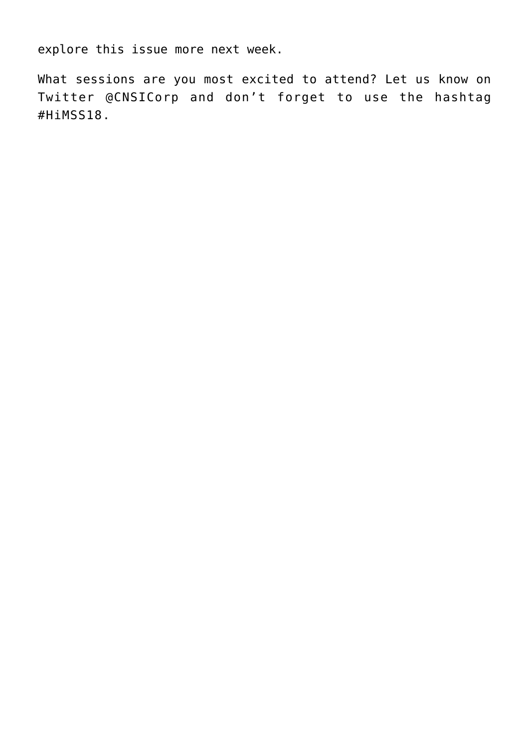explore this issue more next week.

What sessions are you most excited to attend? Let us know on Twitter @CNSICorp and don't forget to use the hashtag #HiMSS18.